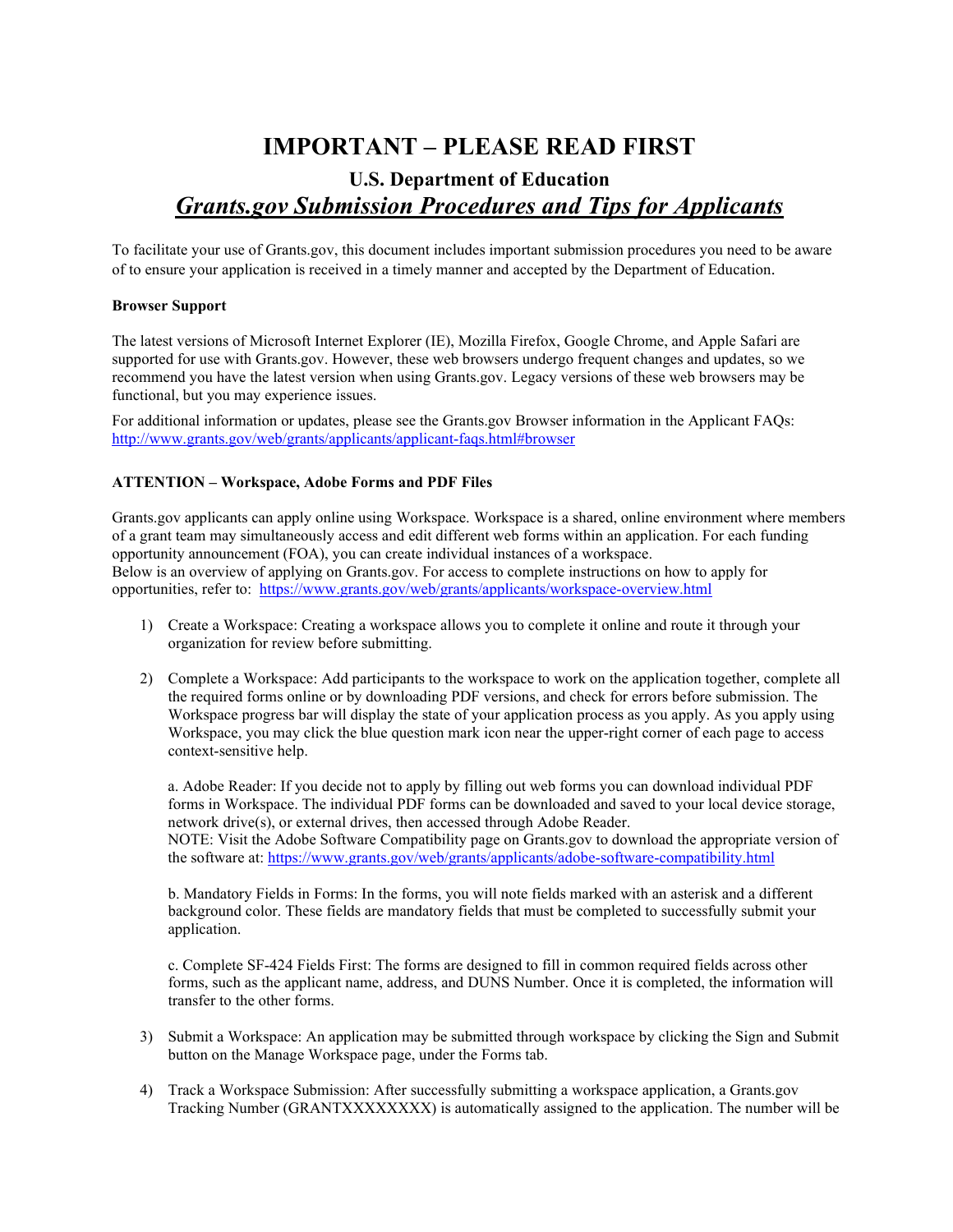# **IMPORTANT – PLEASE READ FIRST**

# **U.S. Department of Education** *Grants.gov Submission Procedures and Tips for Applicants*

To facilitate your use of Grants.gov, this document includes important submission procedures you need to be aware of to ensure your application is received in a timely manner and accepted by the Department of Education.

# **Browser Support**

The latest versions of Microsoft Internet Explorer (IE), Mozilla Firefox, Google Chrome, and Apple Safari are supported for use with Grants.gov. However, these web browsers undergo frequent changes and updates, so we recommend you have the latest version when using Grants.gov. Legacy versions of these web browsers may be functional, but you may experience issues.

For additional information or updates, please see the Grants.gov Browser information in the Applicant FAQs: <http://www.grants.gov/web/grants/applicants/applicant-faqs.html#browser>

# **ATTENTION – Workspace, Adobe Forms and PDF Files**

Grants.gov applicants can apply online using Workspace. Workspace is a shared, online environment where members of a grant team may simultaneously access and edit different web forms within an application. For each funding opportunity announcement (FOA), you can create individual instances of a workspace. Below is an overview of applying on Grants.gov. For access to complete instructions on how to apply for opportunities, refer to:<https://www.grants.gov/web/grants/applicants/workspace-overview.html>

- 1) Create a Workspace: Creating a workspace allows you to complete it online and route it through your organization for review before submitting.
- 2) Complete a Workspace: Add participants to the workspace to work on the application together, complete all the required forms online or by downloading PDF versions, and check for errors before submission. The Workspace progress bar will display the state of your application process as you apply. As you apply using Workspace, you may click the blue question mark icon near the upper-right corner of each page to access context-sensitive help.

a. Adobe Reader: If you decide not to apply by filling out web forms you can download individual PDF forms in Workspace. The individual PDF forms can be downloaded and saved to your local device storage, network drive(s), or external drives, then accessed through Adobe Reader. NOTE: Visit the Adobe Software Compatibility page on Grants.gov to download the appropriate version of the software at:<https://www.grants.gov/web/grants/applicants/adobe-software-compatibility.html>

b. Mandatory Fields in Forms: In the forms, you will note fields marked with an asterisk and a different background color. These fields are mandatory fields that must be completed to successfully submit your application.

c. Complete SF-424 Fields First: The forms are designed to fill in common required fields across other forms, such as the applicant name, address, and DUNS Number. Once it is completed, the information will transfer to the other forms.

- 3) Submit a Workspace: An application may be submitted through workspace by clicking the Sign and Submit button on the Manage Workspace page, under the Forms tab.
- 4) Track a Workspace Submission: After successfully submitting a workspace application, a Grants.gov Tracking Number (GRANTXXXXXXXX) is automatically assigned to the application. The number will be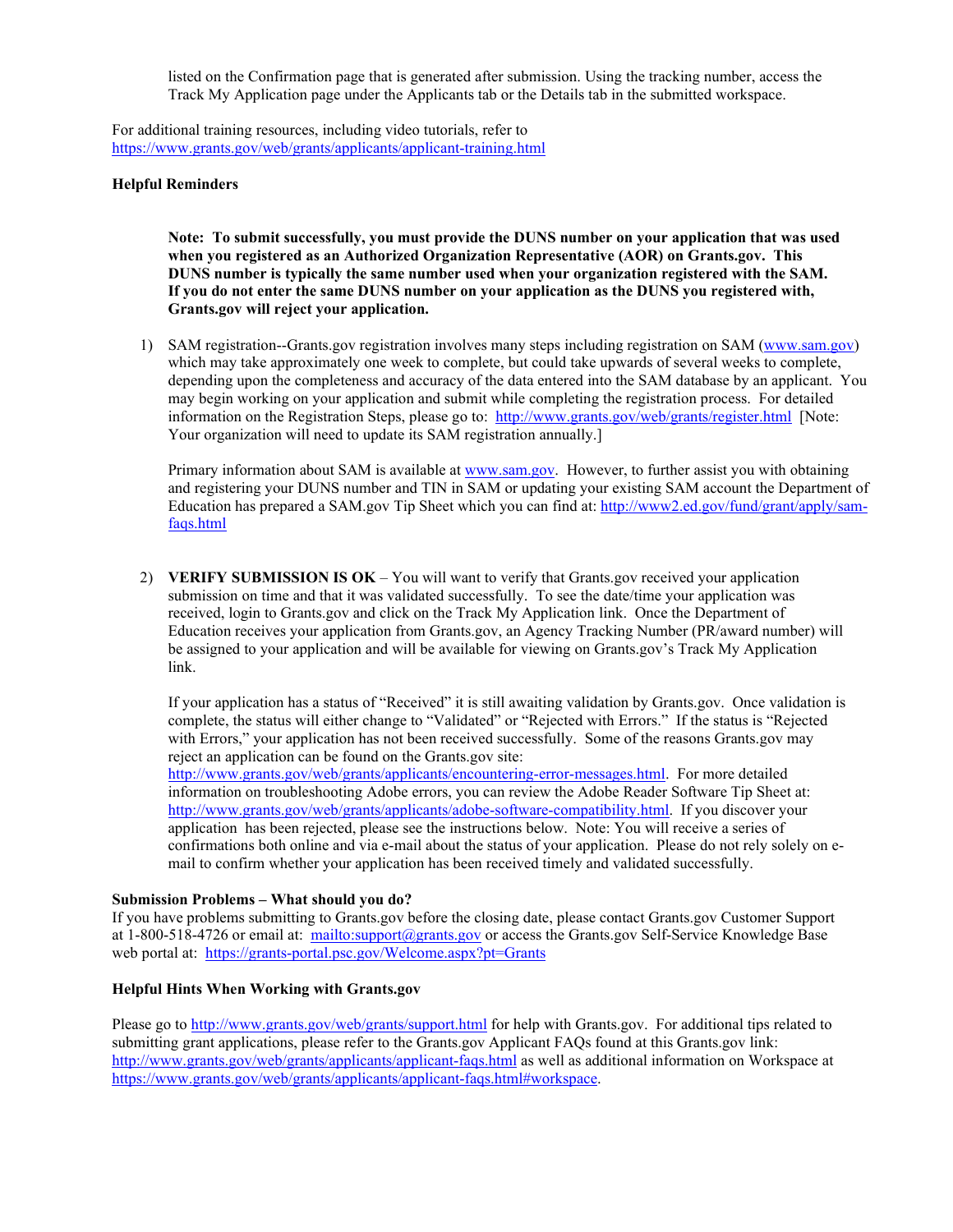listed on the Confirmation page that is generated after submission. Using the tracking number, access the Track My Application page under the Applicants tab or the Details tab in the submitted workspace.

For additional training resources, including video tutorials, refer to <https://www.grants.gov/web/grants/applicants/applicant-training.html>

#### **Helpful Reminders**

**Note: To submit successfully, you must provide the DUNS number on your application that was used when you registered as an Authorized Organization Representative (AOR) on Grants.gov. This DUNS number is typically the same number used when your organization registered with the SAM. If you do not enter the same DUNS number on your application as the DUNS you registered with, Grants.gov will reject your application.**

1) SAM registration--Grants.gov registration involves many steps including registration on SAM [\(www.sam.gov\)](http://www.sam.gov/) which may take approximately one week to complete, but could take upwards of several weeks to complete, depending upon the completeness and accuracy of the data entered into the SAM database by an applicant. You may begin working on your application and submit while completing the registration process. For detailed information on the Registration Steps, please go to:<http://www.grants.gov/web/grants/register.html>[Note: Your organization will need to update its SAM registration annually.]

Primary information about SAM is available at [www.sam.gov.](http://www.sam.gov/) However, to further assist you with obtaining and registering your DUNS number and TIN in SAM or updating your existing SAM account the Department of Education has prepared a SAM.gov Tip Sheet which you can find at: [http://www2.ed.gov/fund/grant/apply/sam](http://www2.ed.gov/fund/grant/apply/sam-faqs.html)[faqs.html](http://www2.ed.gov/fund/grant/apply/sam-faqs.html)

2) **VERIFY SUBMISSION IS OK** – You will want to verify that Grants.gov received your application submission on time and that it was validated successfully. To see the date/time your application was received, login to Grants.gov and click on the Track My Application link. Once the Department of Education receives your application from Grants.gov, an Agency Tracking Number (PR/award number) will be assigned to your application and will be available for viewing on Grants.gov's Track My Application link.

If your application has a status of "Received" it is still awaiting validation by Grants.gov. Once validation is complete, the status will either change to "Validated" or "Rejected with Errors." If the status is "Rejected with Errors," your application has not been received successfully. Some of the reasons Grants.gov may reject an application can be found on the Grants.gov site:

[http://www.grants.gov/web/grants/applicants/encountering-error-messages.html.](http://www.grants.gov/web/grants/applicants/encountering-error-messages.html) For more detailed information on troubleshooting Adobe errors, you can review the Adobe Reader Software Tip Sheet at: [http://www.grants.gov/web/grants/applicants/adobe-software-compatibility.html.](http://www.grants.gov/web/grants/applicants/adobe-software-compatibility.html) If you discover your application has been rejected, please see the instructions below. Note: You will receive a series of confirmations both online and via e-mail about the status of your application. Please do not rely solely on email to confirm whether your application has been received timely and validated successfully.

#### **Submission Problems – What should you do?**

If you have problems submitting to Grants.gov before the closing date, please contact Grants.gov Customer Support at 1-800-518-4726 or email at:<mailto:support@grants.gov> or access the Grants.gov Self-Service Knowledge Base web portal at: <https://grants-portal.psc.gov/Welcome.aspx?pt=Grants>

# **Helpful Hints When Working with Grants.gov**

Please go to<http://www.grants.gov/web/grants/support.html> for help with Grants.gov. For additional tips related to submitting grant applications, please refer to the Grants.gov Applicant FAQs found at this Grants.gov link: <http://www.grants.gov/web/grants/applicants/applicant-faqs.html> as well as additional information on Workspace at [https://www.grants.gov/web/grants/applicants/applicant-faqs.html#workspace.](https://www.grants.gov/web/grants/applicants/applicant-faqs.html#workspace)